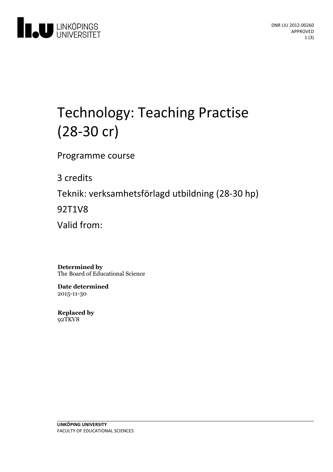

# Technology: Teaching Practise (28-30 cr)

Programme course

3 credits

Teknik: verksamhetsförlagd utbildning(28-30 hp)

92T1V8

Valid from:

**Determined by** The Board of Educational Science

**Date determined** 2015-11-30

**Replaced by** 92TKV8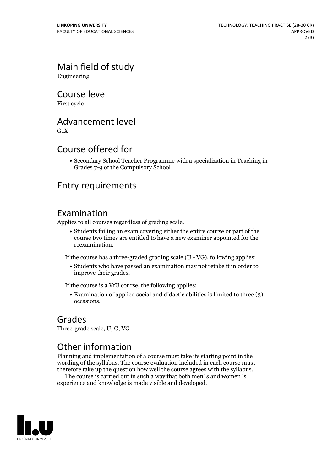## Main field of study

Engineering

#### Course level

First cycle

#### Advancement level

 $G_1X$ 

#### Course offered for

Secondary School Teacher Programme with a specialization in Teaching in Grades 7-9 of the Compulsory School

#### Entry requirements

-

#### Examination

Applies to all courses regardless of grading scale.

Students failing an exam covering either the entire course or part of the course two times are entitled to have a new examiner appointed for the reexamination.

If the course has a three-graded grading scale (U - VG), following applies:

Students who have passed an examination may not retake it in order to improve their grades.

If the course is a VfU course, the following applies:

• Examination of applied social and didactic abilities is limited to three (3) occasions.

#### Grades

Three-grade scale, U, G, VG

### Other information

Planning and implementation of a course must take its starting point in the wording of the syllabus. The course evaluation included in each course must therefore take up the question how well the course agrees with the syllabus. The course is carried outin such <sup>a</sup> way that both men´s and women´s

experience and knowledge is made visible and developed.